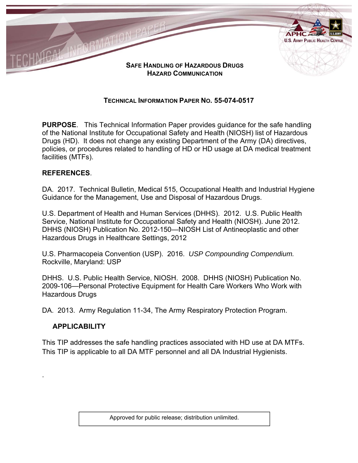

# **TECHNICAL INFORMATION PAPER NO. 55-074-0517**

**PURPOSE**. This Technical Information Paper provides guidance for the safe handling of the National Institute for Occupational Safety and Health (NIOSH) list of Hazardous Drugs (HD). It does not change any existing Department of the Army (DA) directives, policies, or procedures related to handling of HD or HD usage at DA medical treatment facilities (MTFs).

#### **REFERENCES**.

DA. 2017. Technical Bulletin, Medical 515, Occupational Health and Industrial Hygiene Guidance for the Management, Use and Disposal of Hazardous Drugs.

U.S. Department of Health and Human Services (DHHS). 2012. U.S. Public Health Service, National Institute for Occupational Safety and Health (NIOSH). June 2012. DHHS (NIOSH) Publication No. 2012-150—NIOSH List of Antineoplastic and other Hazardous Drugs in Healthcare Settings, 2012

U.S. Pharmacopeia Convention (USP). 2016. *USP Compounding Compendium.* Rockville, Maryland: USP

DHHS. U.S. Public Health Service, NIOSH. 2008. DHHS (NIOSH) Publication No. 2009-106—Personal Protective Equipment for Health Care Workers Who Work with Hazardous Drugs

DA. 2013. Army Regulation 11-34, The Army Respiratory Protection Program.

#### **APPLICABILITY**

.

This TIP addresses the safe handling practices associated with HD use at DA MTFs. This TIP is applicable to all DA MTF personnel and all DA Industrial Hygienists.

Approved for public release; distribution unlimited.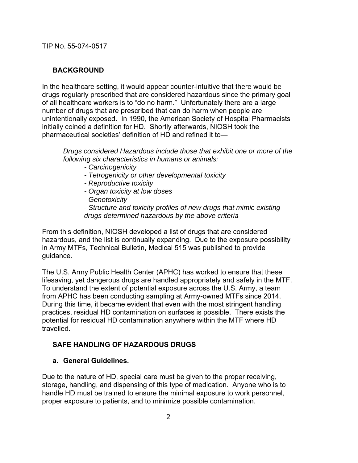### **BACKGROUND**

In the healthcare setting, it would appear counter-intuitive that there would be drugs regularly prescribed that are considered hazardous since the primary goal of all healthcare workers is to "do no harm." Unfortunately there are a large number of drugs that are prescribed that can do harm when people are unintentionally exposed. In 1990, the American Society of Hospital Pharmacists initially coined a definition for HD. Shortly afterwards, NIOSH took the pharmaceutical societies' definition of HD and refined it to—

*Drugs considered Hazardous include those that exhibit one or more of the following six characteristics in humans or animals:* 

- *Carcinogenicity*
- *Tetrogenicity or other developmental toxicity*
- *Reproductive toxicity*
- *Organ toxicity at low doses*
- *Genotoxicity*

*- Structure and toxicity profiles of new drugs that mimic existing drugs determined hazardous by the above criteria*

From this definition, NIOSH developed a list of drugs that are considered hazardous, and the list is continually expanding. Due to the exposure possibility in Army MTFs, Technical Bulletin, Medical 515 was published to provide guidance.

The U.S. Army Public Health Center (APHC) has worked to ensure that these lifesaving, yet dangerous drugs are handled appropriately and safely in the MTF. To understand the extent of potential exposure across the U.S. Army, a team from APHC has been conducting sampling at Army-owned MTFs since 2014. During this time, it became evident that even with the most stringent handling practices, residual HD contamination on surfaces is possible. There exists the potential for residual HD contamination anywhere within the MTF where HD travelled.

# **SAFE HANDLING OF HAZARDOUS DRUGS**

#### **a. General Guidelines.**

Due to the nature of HD, special care must be given to the proper receiving, storage, handling, and dispensing of this type of medication. Anyone who is to handle HD must be trained to ensure the minimal exposure to work personnel, proper exposure to patients, and to minimize possible contamination.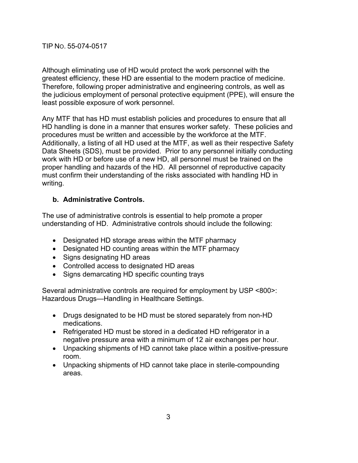Although eliminating use of HD would protect the work personnel with the greatest efficiency, these HD are essential to the modern practice of medicine. Therefore, following proper administrative and engineering controls, as well as the judicious employment of personal protective equipment (PPE), will ensure the least possible exposure of work personnel.

Any MTF that has HD must establish policies and procedures to ensure that all HD handling is done in a manner that ensures worker safety. These policies and procedures must be written and accessible by the workforce at the MTF. Additionally, a listing of all HD used at the MTF, as well as their respective Safety Data Sheets (SDS), must be provided. Prior to any personnel initially conducting work with HD or before use of a new HD, all personnel must be trained on the proper handling and hazards of the HD. All personnel of reproductive capacity must confirm their understanding of the risks associated with handling HD in writing.

#### **b. Administrative Controls.**

The use of administrative controls is essential to help promote a proper understanding of HD. Administrative controls should include the following:

- Designated HD storage areas within the MTF pharmacy
- Designated HD counting areas within the MTF pharmacy
- Signs designating HD areas
- Controlled access to designated HD areas
- Signs demarcating HD specific counting trays

Several administrative controls are required for employment by USP <800>: Hazardous Drugs—Handling in Healthcare Settings.

- Drugs designated to be HD must be stored separately from non-HD medications.
- Refrigerated HD must be stored in a dedicated HD refrigerator in a negative pressure area with a minimum of 12 air exchanges per hour.
- Unpacking shipments of HD cannot take place within a positive-pressure room.
- Unpacking shipments of HD cannot take place in sterile-compounding areas.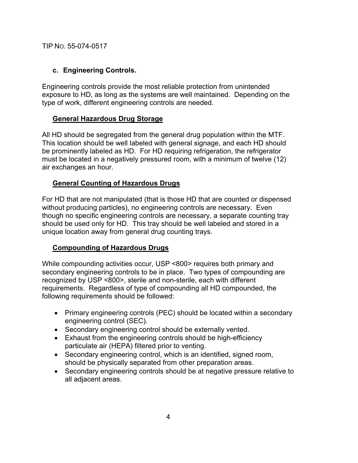### **c. Engineering Controls.**

Engineering controls provide the most reliable protection from unintended exposure to HD, as long as the systems are well maintained. Depending on the type of work, different engineering controls are needed.

### **General Hazardous Drug Storage**

All HD should be segregated from the general drug population within the MTF. This location should be well labeled with general signage, and each HD should be prominently labeled as HD. For HD requiring refrigeration, the refrigerator must be located in a negatively pressured room, with a minimum of twelve (12) air exchanges an hour.

### **General Counting of Hazardous Drugs**

For HD that are not manipulated (that is those HD that are counted or dispensed without producing particles), no engineering controls are necessary. Even though no specific engineering controls are necessary, a separate counting tray should be used only for HD. This tray should be well labeled and stored in a unique location away from general drug counting trays.

# **Compounding of Hazardous Drugs**

While compounding activities occur, USP <800> requires both primary and secondary engineering controls to be in place. Two types of compounding are recognized by USP <800>, sterile and non-sterile, each with different requirements. Regardless of type of compounding all HD compounded, the following requirements should be followed:

- Primary engineering controls (PEC) should be located within a secondary engineering control (SEC).
- Secondary engineering control should be externally vented.
- Exhaust from the engineering controls should be high-efficiency particulate air (HEPA) filtered prior to venting.
- Secondary engineering control, which is an identified, signed room, should be physically separated from other preparation areas.
- Secondary engineering controls should be at negative pressure relative to all adjacent areas.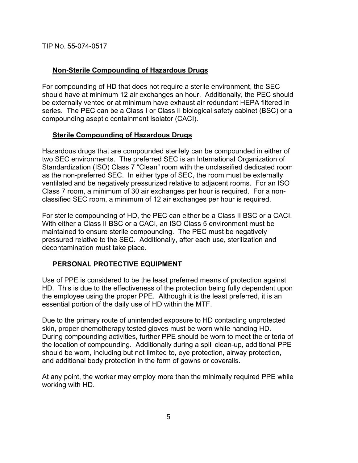### **Non-Sterile Compounding of Hazardous Drugs**

For compounding of HD that does not require a sterile environment, the SEC should have at minimum 12 air exchanges an hour. Additionally, the PEC should be externally vented or at minimum have exhaust air redundant HEPA filtered in series. The PEC can be a Class I or Class II biological safety cabinet (BSC) or a compounding aseptic containment isolator (CACI).

#### **Sterile Compounding of Hazardous Drugs**

Hazardous drugs that are compounded sterilely can be compounded in either of two SEC environments. The preferred SEC is an International Organization of Standardization (ISO) Class 7 "Clean" room with the unclassified dedicated room as the non-preferred SEC. In either type of SEC, the room must be externally ventilated and be negatively pressurized relative to adjacent rooms. For an ISO Class 7 room, a minimum of 30 air exchanges per hour is required. For a nonclassified SEC room, a minimum of 12 air exchanges per hour is required.

For sterile compounding of HD, the PEC can either be a Class II BSC or a CACI. With either a Class II BSC or a CACI, an ISO Class 5 environment must be maintained to ensure sterile compounding. The PEC must be negatively pressured relative to the SEC. Additionally, after each use, sterilization and decontamination must take place.

# **PERSONAL PROTECTIVE EQUIPMENT**

Use of PPE is considered to be the least preferred means of protection against HD. This is due to the effectiveness of the protection being fully dependent upon the employee using the proper PPE. Although it is the least preferred, it is an essential portion of the daily use of HD within the MTF.

Due to the primary route of unintended exposure to HD contacting unprotected skin, proper chemotherapy tested gloves must be worn while handing HD. During compounding activities, further PPE should be worn to meet the criteria of the location of compounding. Additionally during a spill clean-up, additional PPE should be worn, including but not limited to, eye protection, airway protection, and additional body protection in the form of gowns or coveralls.

At any point, the worker may employ more than the minimally required PPE while working with HD.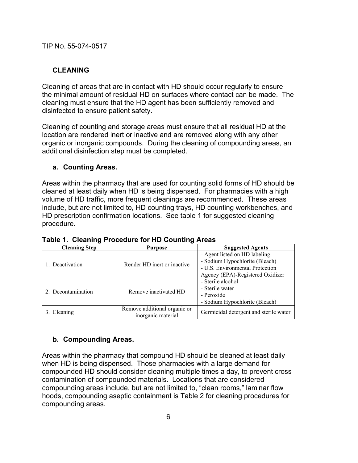### **CLEANING**

Cleaning of areas that are in contact with HD should occur regularly to ensure the minimal amount of residual HD on surfaces where contact can be made. The cleaning must ensure that the HD agent has been sufficiently removed and disinfected to ensure patient safety.

Cleaning of counting and storage areas must ensure that all residual HD at the location are rendered inert or inactive and are removed along with any other organic or inorganic compounds. During the cleaning of compounding areas, an additional disinfection step must be completed.

#### **a. Counting Areas.**

Areas within the pharmacy that are used for counting solid forms of HD should be cleaned at least daily when HD is being dispensed. For pharmacies with a high volume of HD traffic, more frequent cleanings are recommended. These areas include, but are not limited to, HD counting trays, HD counting workbenches, and HD prescription confirmation locations. See table 1 for suggested cleaning procedure.

| <b>Cleaning Step</b> | <b>Purpose</b>               | <b>Suggested Agents</b>                |
|----------------------|------------------------------|----------------------------------------|
| 1. Deactivation      | Render HD inert or inactive  | - Agent listed on HD labeling          |
|                      |                              | - Sodium Hypochlorite (Bleach)         |
|                      |                              | - U.S. Environmental Protection        |
|                      |                              | Agency (EPA)-Registered Oxidizer       |
| 2. Decontamination   | Remove inactivated HD        | - Sterile alcohol                      |
|                      |                              | - Sterile water                        |
|                      |                              | - Peroxide                             |
|                      |                              | - Sodium Hypochlorite (Bleach)         |
| 3. Cleaning          | Remove additional organic or | Germicidal detergent and sterile water |
|                      | inorganic material           |                                        |

#### **Table 1. Cleaning Procedure for HD Counting Areas**

#### **b. Compounding Areas.**

Areas within the pharmacy that compound HD should be cleaned at least daily when HD is being dispensed. Those pharmacies with a large demand for compounded HD should consider cleaning multiple times a day, to prevent cross contamination of compounded materials. Locations that are considered compounding areas include, but are not limited to, "clean rooms," laminar flow hoods, compounding aseptic containment is Table 2 for cleaning procedures for compounding areas.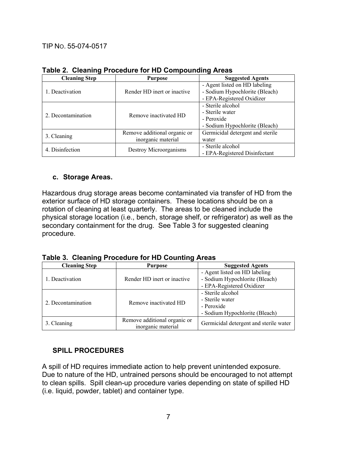| <b>Cleaning Step</b> | <b>Purpose</b>               | <b>Suggested Agents</b>          |
|----------------------|------------------------------|----------------------------------|
| 1. Deactivation      | Render HD inert or inactive  | - Agent listed on HD labeling    |
|                      |                              | - Sodium Hypochlorite (Bleach)   |
|                      |                              | - EPA-Registered Oxidizer        |
| 2. Decontamination   | Remove inactivated HD        | - Sterile alcohol                |
|                      |                              | - Sterile water                  |
|                      |                              | - Peroxide                       |
|                      |                              | - Sodium Hypochlorite (Bleach)   |
| 3. Cleaning          | Remove additional organic or | Germicidal detergent and sterile |
|                      | inorganic material           | water                            |
| 4. Disinfection      | Destroy Microorganisms       | - Sterile alcohol                |
|                      |                              | - EPA-Registered Disinfectant    |

#### **Table 2. Cleaning Procedure for HD Compounding Areas**

#### **c. Storage Areas.**

Hazardous drug storage areas become contaminated via transfer of HD from the exterior surface of HD storage containers. These locations should be on a rotation of cleaning at least quarterly. The areas to be cleaned include the physical storage location (i.e., bench, storage shelf, or refrigerator) as well as the secondary containment for the drug. See Table 3 for suggested cleaning procedure.

**Table 3. Cleaning Procedure for HD Counting Areas** 

| <b>Cleaning Step</b> | <b>Purpose</b>                                     | <b>Suggested Agents</b>                |
|----------------------|----------------------------------------------------|----------------------------------------|
| 1. Deactivation      | Render HD inert or inactive                        | - Agent listed on HD labeling          |
|                      |                                                    | - Sodium Hypochlorite (Bleach)         |
|                      |                                                    | - EPA-Registered Oxidizer              |
| 2. Decontamination   | Remove inactivated HD                              | - Sterile alcohol                      |
|                      |                                                    | - Sterile water                        |
|                      |                                                    | - Peroxide                             |
|                      |                                                    | - Sodium Hypochlorite (Bleach)         |
| 3. Cleaning          | Remove additional organic or<br>inorganic material | Germicidal detergent and sterile water |

# **SPILL PROCEDURES**

A spill of HD requires immediate action to help prevent unintended exposure. Due to nature of the HD, untrained persons should be encouraged to not attempt to clean spills. Spill clean-up procedure varies depending on state of spilled HD (i.e. liquid, powder, tablet) and container type.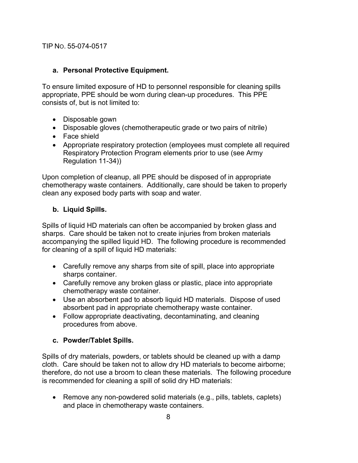### **a. Personal Protective Equipment.**

To ensure limited exposure of HD to personnel responsible for cleaning spills appropriate, PPE should be worn during clean-up procedures. This PPE consists of, but is not limited to:

- Disposable gown
- Disposable gloves (chemotherapeutic grade or two pairs of nitrile)
- Face shield
- Appropriate respiratory protection (employees must complete all required Respiratory Protection Program elements prior to use (see Army Regulation 11-34))

Upon completion of cleanup, all PPE should be disposed of in appropriate chemotherapy waste containers. Additionally, care should be taken to properly clean any exposed body parts with soap and water.

### **b. Liquid Spills.**

Spills of liquid HD materials can often be accompanied by broken glass and sharps. Care should be taken not to create injuries from broken materials accompanying the spilled liquid HD. The following procedure is recommended for cleaning of a spill of liquid HD materials:

- Carefully remove any sharps from site of spill, place into appropriate sharps container.
- Carefully remove any broken glass or plastic, place into appropriate chemotherapy waste container.
- Use an absorbent pad to absorb liquid HD materials. Dispose of used absorbent pad in appropriate chemotherapy waste container.
- Follow appropriate deactivating, decontaminating, and cleaning procedures from above.

# **c. Powder/Tablet Spills.**

Spills of dry materials, powders, or tablets should be cleaned up with a damp cloth. Care should be taken not to allow dry HD materials to become airborne; therefore, do not use a broom to clean these materials. The following procedure is recommended for cleaning a spill of solid dry HD materials:

• Remove any non-powdered solid materials (e.g., pills, tablets, caplets) and place in chemotherapy waste containers.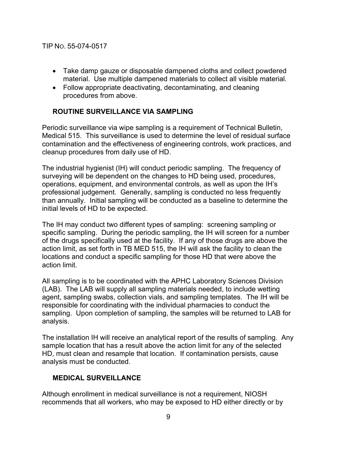- Take damp gauze or disposable dampened cloths and collect powdered material. Use multiple dampened materials to collect all visible material.
- Follow appropriate deactivating, decontaminating, and cleaning procedures from above.

# **ROUTINE SURVEILLANCE VIA SAMPLING**

Periodic surveillance via wipe sampling is a requirement of Technical Bulletin, Medical 515. This surveillance is used to determine the level of residual surface contamination and the effectiveness of engineering controls, work practices, and cleanup procedures from daily use of HD.

The industrial hygienist (IH) will conduct periodic sampling. The frequency of surveying will be dependent on the changes to HD being used, procedures, operations, equipment, and environmental controls, as well as upon the IH's professional judgement. Generally, sampling is conducted no less frequently than annually. Initial sampling will be conducted as a baseline to determine the initial levels of HD to be expected.

The IH may conduct two different types of sampling: screening sampling or specific sampling. During the periodic sampling, the IH will screen for a number of the drugs specifically used at the facility. If any of those drugs are above the action limit, as set forth in TB MED 515, the IH will ask the facility to clean the locations and conduct a specific sampling for those HD that were above the action limit.

All sampling is to be coordinated with the APHC Laboratory Sciences Division (LAB). The LAB will supply all sampling materials needed, to include wetting agent, sampling swabs, collection vials, and sampling templates. The IH will be responsible for coordinating with the individual pharmacies to conduct the sampling. Upon completion of sampling, the samples will be returned to LAB for analysis.

The installation IH will receive an analytical report of the results of sampling. Any sample location that has a result above the action limit for any of the selected HD, must clean and resample that location. If contamination persists, cause analysis must be conducted.

#### **MEDICAL SURVEILLANCE**

Although enrollment in medical surveillance is not a requirement, NIOSH recommends that all workers, who may be exposed to HD either directly or by